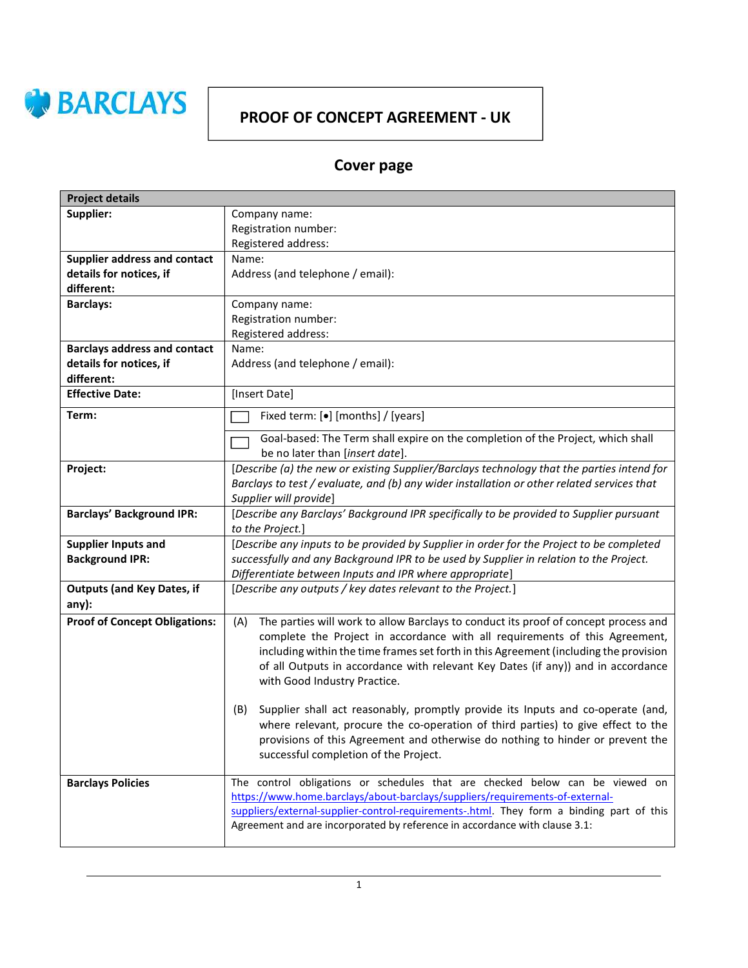

## PROOF OF CONCEPT AGREEMENT - UK

# Cover page

| <b>Project details</b>                               |                                                                                                                                                                                                                                                                                                                                                                                        |  |
|------------------------------------------------------|----------------------------------------------------------------------------------------------------------------------------------------------------------------------------------------------------------------------------------------------------------------------------------------------------------------------------------------------------------------------------------------|--|
| Supplier:                                            | Company name:                                                                                                                                                                                                                                                                                                                                                                          |  |
|                                                      | Registration number:                                                                                                                                                                                                                                                                                                                                                                   |  |
|                                                      | Registered address:                                                                                                                                                                                                                                                                                                                                                                    |  |
| Supplier address and contact                         | Name:                                                                                                                                                                                                                                                                                                                                                                                  |  |
| details for notices, if                              | Address (and telephone / email):                                                                                                                                                                                                                                                                                                                                                       |  |
| different:                                           |                                                                                                                                                                                                                                                                                                                                                                                        |  |
| <b>Barclays:</b>                                     | Company name:                                                                                                                                                                                                                                                                                                                                                                          |  |
|                                                      | Registration number:                                                                                                                                                                                                                                                                                                                                                                   |  |
|                                                      | Registered address:                                                                                                                                                                                                                                                                                                                                                                    |  |
| <b>Barclays address and contact</b>                  | Name:                                                                                                                                                                                                                                                                                                                                                                                  |  |
| details for notices, if                              | Address (and telephone / email):                                                                                                                                                                                                                                                                                                                                                       |  |
| different:                                           |                                                                                                                                                                                                                                                                                                                                                                                        |  |
| <b>Effective Date:</b>                               | [Insert Date]                                                                                                                                                                                                                                                                                                                                                                          |  |
| Term:                                                | Fixed term: [ $\bullet$ ] [months] / [years]                                                                                                                                                                                                                                                                                                                                           |  |
|                                                      | Goal-based: The Term shall expire on the completion of the Project, which shall<br>be no later than [insert date].                                                                                                                                                                                                                                                                     |  |
| Project:                                             | [Describe (a) the new or existing Supplier/Barclays technology that the parties intend for<br>Barclays to test / evaluate, and (b) any wider installation or other related services that<br>Supplier will provide]                                                                                                                                                                     |  |
| <b>Barclays' Background IPR:</b>                     | [Describe any Barclays' Background IPR specifically to be provided to Supplier pursuant<br>to the Project.]                                                                                                                                                                                                                                                                            |  |
| <b>Supplier Inputs and</b><br><b>Background IPR:</b> | [Describe any inputs to be provided by Supplier in order for the Project to be completed<br>successfully and any Background IPR to be used by Supplier in relation to the Project.<br>Differentiate between Inputs and IPR where appropriate]                                                                                                                                          |  |
| <b>Outputs (and Key Dates, if</b><br>any):           | [Describe any outputs / key dates relevant to the Project.]                                                                                                                                                                                                                                                                                                                            |  |
| <b>Proof of Concept Obligations:</b>                 | The parties will work to allow Barclays to conduct its proof of concept process and<br>(A)<br>complete the Project in accordance with all requirements of this Agreement,<br>including within the time frames set forth in this Agreement (including the provision<br>of all Outputs in accordance with relevant Key Dates (if any)) and in accordance<br>with Good Industry Practice. |  |
|                                                      | Supplier shall act reasonably, promptly provide its Inputs and co-operate (and,<br>(B)<br>where relevant, procure the co-operation of third parties) to give effect to the<br>provisions of this Agreement and otherwise do nothing to hinder or prevent the<br>successful completion of the Project.                                                                                  |  |
| <b>Barclays Policies</b>                             | The control obligations or schedules that are checked below can be viewed on<br>https://www.home.barclays/about-barclays/suppliers/requirements-of-external-<br>suppliers/external-supplier-control-requirements-.html. They form a binding part of this<br>Agreement and are incorporated by reference in accordance with clause 3.1:                                                 |  |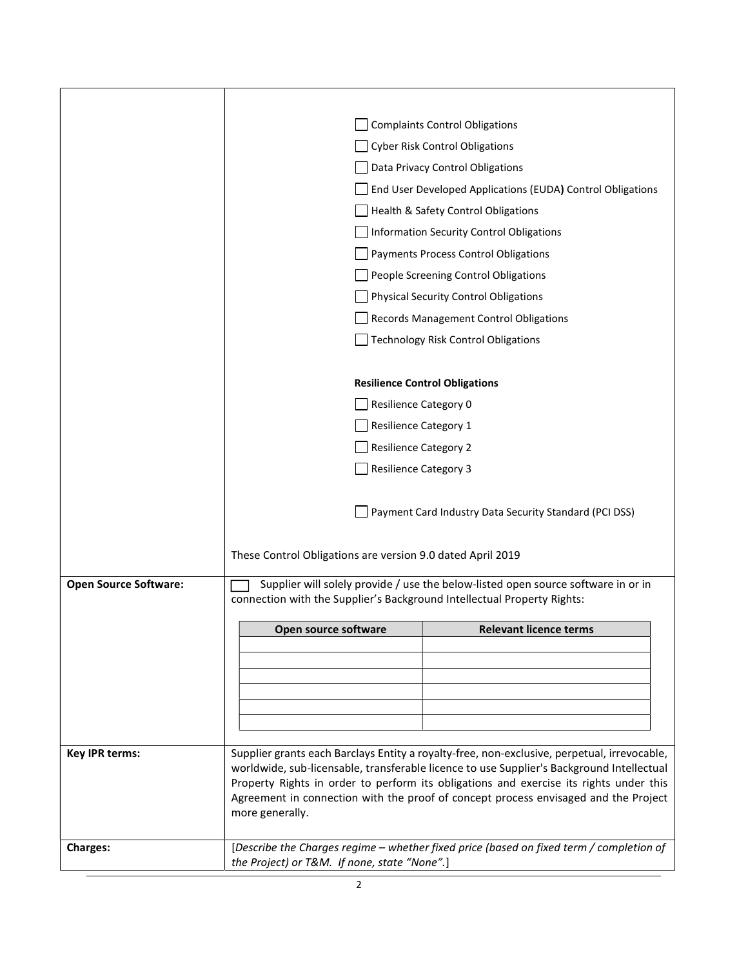|                              |                                                                                                                                                                               | <b>Complaints Control Obligations</b>                                                       |  |
|------------------------------|-------------------------------------------------------------------------------------------------------------------------------------------------------------------------------|---------------------------------------------------------------------------------------------|--|
|                              |                                                                                                                                                                               | <b>Cyber Risk Control Obligations</b>                                                       |  |
|                              |                                                                                                                                                                               | Data Privacy Control Obligations                                                            |  |
|                              |                                                                                                                                                                               | End User Developed Applications (EUDA) Control Obligations                                  |  |
|                              |                                                                                                                                                                               | Health & Safety Control Obligations                                                         |  |
|                              |                                                                                                                                                                               | Information Security Control Obligations                                                    |  |
|                              |                                                                                                                                                                               | Payments Process Control Obligations                                                        |  |
|                              |                                                                                                                                                                               | People Screening Control Obligations                                                        |  |
|                              |                                                                                                                                                                               | <b>Physical Security Control Obligations</b>                                                |  |
|                              |                                                                                                                                                                               | <b>Records Management Control Obligations</b>                                               |  |
|                              |                                                                                                                                                                               | <b>Technology Risk Control Obligations</b>                                                  |  |
|                              |                                                                                                                                                                               |                                                                                             |  |
|                              |                                                                                                                                                                               | <b>Resilience Control Obligations</b>                                                       |  |
|                              |                                                                                                                                                                               | <b>Resilience Category 0</b>                                                                |  |
|                              | <b>Resilience Category 1</b>                                                                                                                                                  |                                                                                             |  |
|                              |                                                                                                                                                                               | <b>Resilience Category 2</b>                                                                |  |
|                              |                                                                                                                                                                               | <b>Resilience Category 3</b>                                                                |  |
|                              |                                                                                                                                                                               |                                                                                             |  |
|                              | Payment Card Industry Data Security Standard (PCI DSS)                                                                                                                        |                                                                                             |  |
|                              |                                                                                                                                                                               |                                                                                             |  |
|                              | These Control Obligations are version 9.0 dated April 2019                                                                                                                    |                                                                                             |  |
| <b>Open Source Software:</b> |                                                                                                                                                                               |                                                                                             |  |
|                              | Supplier will solely provide / use the below-listed open source software in or in<br>connection with the Supplier's Background Intellectual Property Rights:                  |                                                                                             |  |
|                              |                                                                                                                                                                               |                                                                                             |  |
|                              | Open source software                                                                                                                                                          | <b>Relevant licence terms</b>                                                               |  |
|                              |                                                                                                                                                                               |                                                                                             |  |
|                              |                                                                                                                                                                               |                                                                                             |  |
|                              |                                                                                                                                                                               |                                                                                             |  |
|                              |                                                                                                                                                                               |                                                                                             |  |
| <b>Key IPR terms:</b>        |                                                                                                                                                                               | Supplier grants each Barclays Entity a royalty-free, non-exclusive, perpetual, irrevocable, |  |
|                              |                                                                                                                                                                               | worldwide, sub-licensable, transferable licence to use Supplier's Background Intellectual   |  |
|                              | Property Rights in order to perform its obligations and exercise its rights under this<br>Agreement in connection with the proof of concept process envisaged and the Project |                                                                                             |  |
|                              | more generally.                                                                                                                                                               |                                                                                             |  |
|                              |                                                                                                                                                                               |                                                                                             |  |
| <b>Charges:</b>              | [Describe the Charges regime - whether fixed price (based on fixed term / completion of<br>the Project) or T&M. If none, state "None".]                                       |                                                                                             |  |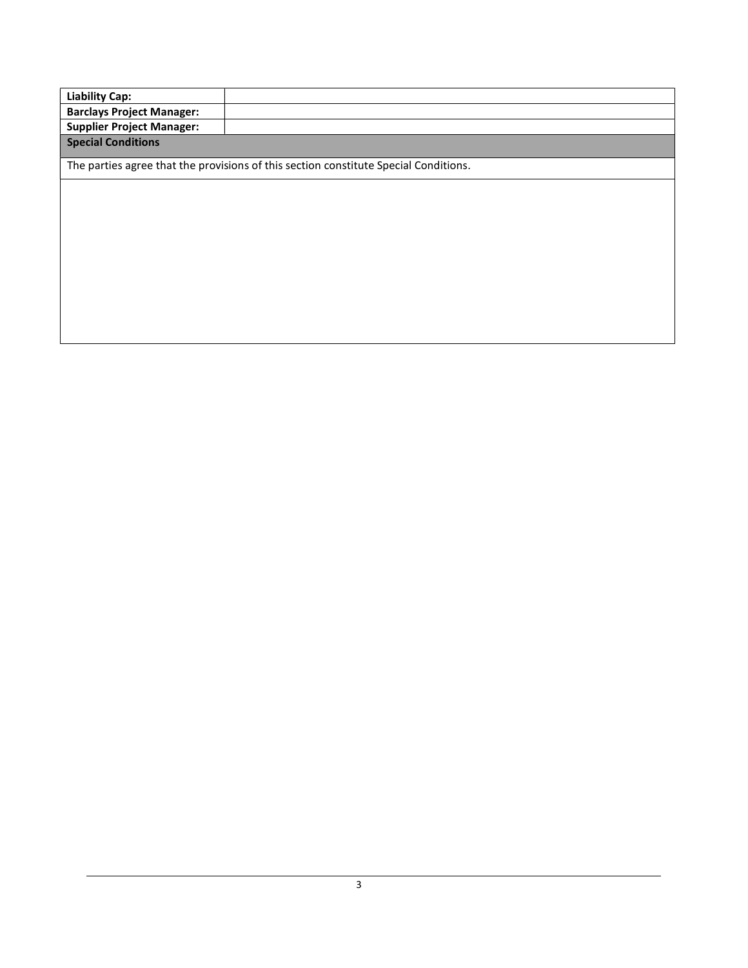| Liability Cap:                   |  |
|----------------------------------|--|
| <b>Barclays Project Manager:</b> |  |
| <b>Supplier Project Manager:</b> |  |
| <b>Special Conditions</b>        |  |
|                                  |  |

The parties agree that the provisions of this section constitute Special Conditions.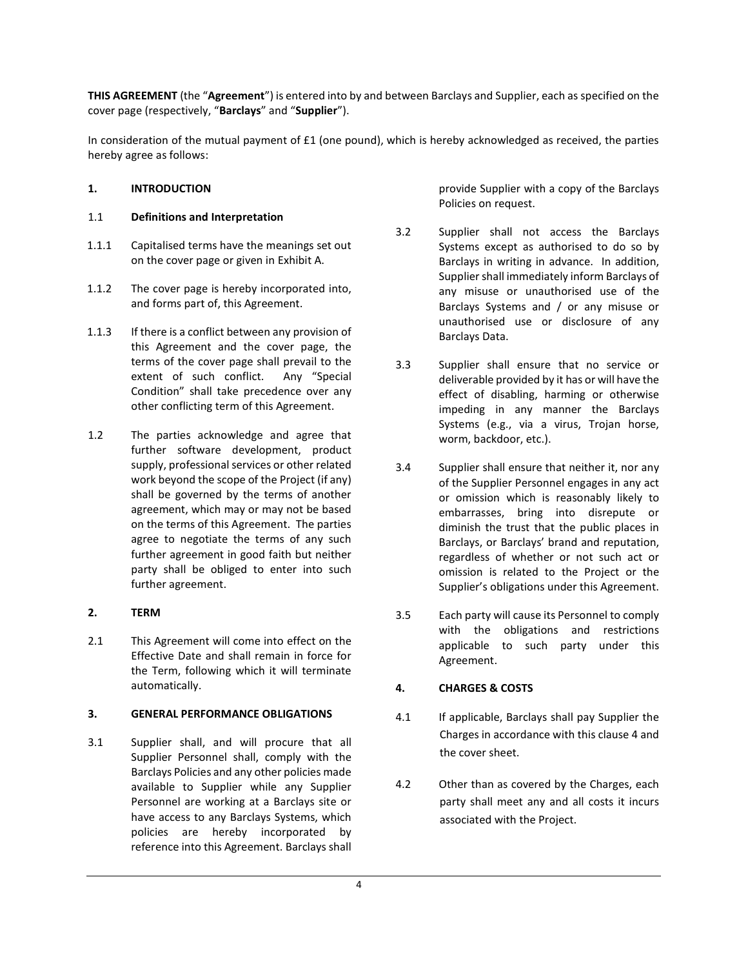THIS AGREEMENT (the "Agreement") is entered into by and between Barclays and Supplier, each as specified on the cover page (respectively, "Barclays" and "Supplier").

In consideration of the mutual payment of £1 (one pound), which is hereby acknowledged as received, the parties hereby agree as follows:

## 1. INTRODUCTION

## 1.1 Definitions and Interpretation

- 1.1.1 Capitalised terms have the meanings set out on the cover page or given in Exhibit A.
- 1.1.2 The cover page is hereby incorporated into, and forms part of, this Agreement.
- 1.1.3 If there is a conflict between any provision of this Agreement and the cover page, the terms of the cover page shall prevail to the extent of such conflict. Any "Special Condition" shall take precedence over any other conflicting term of this Agreement.
- 1.2 The parties acknowledge and agree that further software development, product supply, professional services or other related work beyond the scope of the Project (if any) shall be governed by the terms of another agreement, which may or may not be based on the terms of this Agreement. The parties agree to negotiate the terms of any such further agreement in good faith but neither party shall be obliged to enter into such further agreement.

## 2. TERM

2.1 This Agreement will come into effect on the Effective Date and shall remain in force for the Term, following which it will terminate automatically.

## 3. GENERAL PERFORMANCE OBLIGATIONS

3.1 Supplier shall, and will procure that all Supplier Personnel shall, comply with the Barclays Policies and any other policies made available to Supplier while any Supplier Personnel are working at a Barclays site or have access to any Barclays Systems, which policies are hereby incorporated by reference into this Agreement. Barclays shall

provide Supplier with a copy of the Barclays Policies on request.

- 3.2 Supplier shall not access the Barclays Systems except as authorised to do so by Barclays in writing in advance. In addition, Supplier shall immediately inform Barclays of any misuse or unauthorised use of the Barclays Systems and / or any misuse or unauthorised use or disclosure of any Barclays Data.
- 3.3 Supplier shall ensure that no service or deliverable provided by it has or will have the effect of disabling, harming or otherwise impeding in any manner the Barclays Systems (e.g., via a virus, Trojan horse, worm, backdoor, etc.).
- 3.4 Supplier shall ensure that neither it, nor any of the Supplier Personnel engages in any act or omission which is reasonably likely to embarrasses, bring into disrepute or diminish the trust that the public places in Barclays, or Barclays' brand and reputation, regardless of whether or not such act or omission is related to the Project or the Supplier's obligations under this Agreement.
- 3.5 Each party will cause its Personnel to comply with the obligations and restrictions applicable to such party under this Agreement.

## 4. CHARGES & COSTS

- 4.1 If applicable, Barclays shall pay Supplier the Charges in accordance with this clause 4 and the cover sheet.
- 4.2 Other than as covered by the Charges, each party shall meet any and all costs it incurs associated with the Project.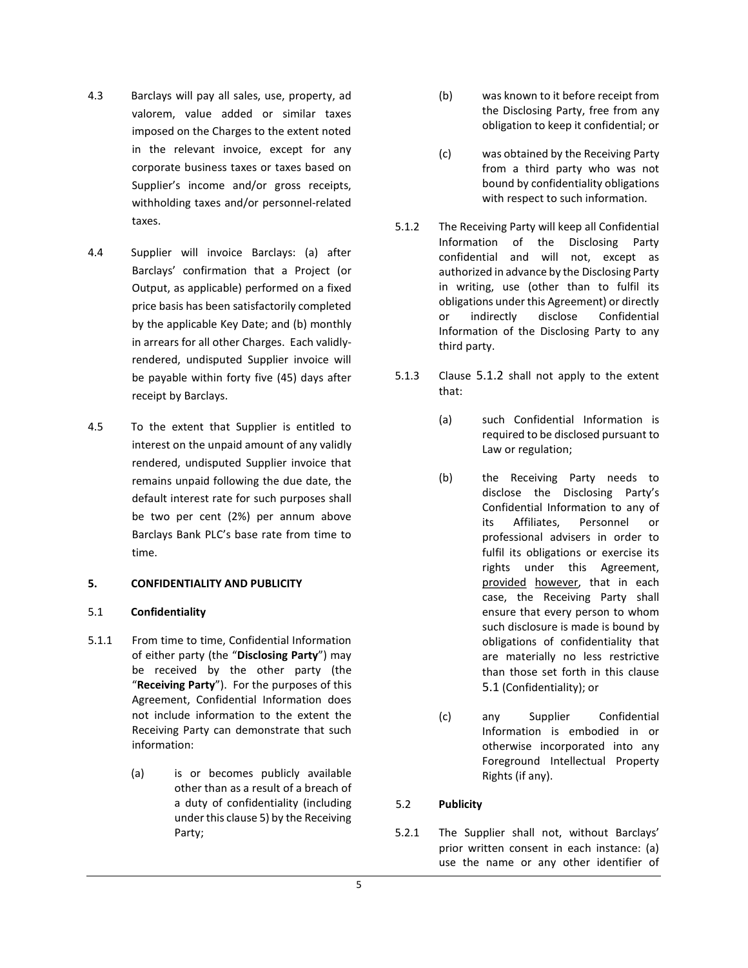- 4.3 Barclays will pay all sales, use, property, ad valorem, value added or similar taxes imposed on the Charges to the extent noted in the relevant invoice, except for any corporate business taxes or taxes based on Supplier's income and/or gross receipts, withholding taxes and/or personnel-related taxes.
- 4.4 Supplier will invoice Barclays: (a) after Barclays' confirmation that a Project (or Output, as applicable) performed on a fixed price basis has been satisfactorily completed by the applicable Key Date; and (b) monthly in arrears for all other Charges. Each validlyrendered, undisputed Supplier invoice will be payable within forty five (45) days after receipt by Barclays.
- 4.5 To the extent that Supplier is entitled to interest on the unpaid amount of any validly rendered, undisputed Supplier invoice that remains unpaid following the due date, the default interest rate for such purposes shall be two per cent (2%) per annum above Barclays Bank PLC's base rate from time to time.

## 5. CONFIDENTIALITY AND PUBLICITY

## 5.1 Confidentiality

- 5.1.1 From time to time, Confidential Information of either party (the "Disclosing Party") may be received by the other party (the "Receiving Party"). For the purposes of this Agreement, Confidential Information does not include information to the extent the Receiving Party can demonstrate that such information:
	- (a) is or becomes publicly available other than as a result of a breach of a duty of confidentiality (including under this clause 5) by the Receiving Party;
- (b) was known to it before receipt from the Disclosing Party, free from any obligation to keep it confidential; or
- (c) was obtained by the Receiving Party from a third party who was not bound by confidentiality obligations with respect to such information.
- 5.1.2 The Receiving Party will keep all Confidential Information of the Disclosing Party confidential and will not, except as authorized in advance by the Disclosing Party in writing, use (other than to fulfil its obligations under this Agreement) or directly or indirectly disclose Confidential Information of the Disclosing Party to any third party.
- 5.1.3 Clause 5.1.2 shall not apply to the extent that:
	- (a) such Confidential Information is required to be disclosed pursuant to Law or regulation;
	- (b) the Receiving Party needs to disclose the Disclosing Party's Confidential Information to any of its Affiliates, Personnel or professional advisers in order to fulfil its obligations or exercise its rights under this Agreement, provided however, that in each case, the Receiving Party shall ensure that every person to whom such disclosure is made is bound by obligations of confidentiality that are materially no less restrictive than those set forth in this clause 5.1 (Confidentiality); or
	- (c) any Supplier Confidential Information is embodied in or otherwise incorporated into any Foreground Intellectual Property Rights (if any).

## 5.2 Publicity

5.2.1 The Supplier shall not, without Barclays' prior written consent in each instance: (a) use the name or any other identifier of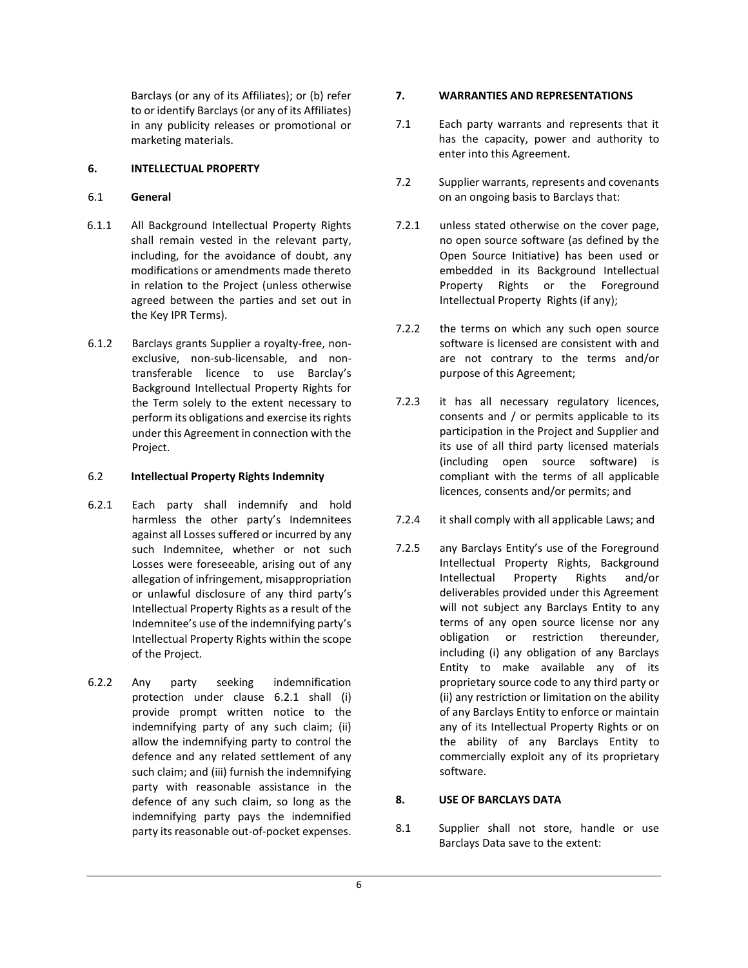Barclays (or any of its Affiliates); or (b) refer to or identify Barclays (or any of its Affiliates) in any publicity releases or promotional or marketing materials.

## 6. INTELLECTUAL PROPERTY

## 6.1 General

- 6.1.1 All Background Intellectual Property Rights shall remain vested in the relevant party, including, for the avoidance of doubt, any modifications or amendments made thereto in relation to the Project (unless otherwise agreed between the parties and set out in the Key IPR Terms).
- 6.1.2 Barclays grants Supplier a royalty-free, nonexclusive, non-sub-licensable, and nontransferable licence to use Barclay's Background Intellectual Property Rights for the Term solely to the extent necessary to perform its obligations and exercise its rights under this Agreement in connection with the Project.

## 6.2 Intellectual Property Rights Indemnity

- 6.2.1 Each party shall indemnify and hold harmless the other party's Indemnitees against all Losses suffered or incurred by any such Indemnitee, whether or not such Losses were foreseeable, arising out of any allegation of infringement, misappropriation or unlawful disclosure of any third party's Intellectual Property Rights as a result of the Indemnitee's use of the indemnifying party's Intellectual Property Rights within the scope of the Project.
- 6.2.2 Any party seeking indemnification protection under clause 6.2.1 shall (i) provide prompt written notice to the indemnifying party of any such claim; (ii) allow the indemnifying party to control the defence and any related settlement of any such claim; and (iii) furnish the indemnifying party with reasonable assistance in the defence of any such claim, so long as the indemnifying party pays the indemnified party its reasonable out-of-pocket expenses.

## 7. WARRANTIES AND REPRESENTATIONS

- 7.1 Each party warrants and represents that it has the capacity, power and authority to enter into this Agreement.
- 7.2 Supplier warrants, represents and covenants on an ongoing basis to Barclays that:
- 7.2.1 unless stated otherwise on the cover page, no open source software (as defined by the Open Source Initiative) has been used or embedded in its Background Intellectual Property Rights or the Foreground Intellectual Property Rights (if any);
- 7.2.2 the terms on which any such open source software is licensed are consistent with and are not contrary to the terms and/or purpose of this Agreement;
- 7.2.3 it has all necessary regulatory licences, consents and / or permits applicable to its participation in the Project and Supplier and its use of all third party licensed materials (including open source software) is compliant with the terms of all applicable licences, consents and/or permits; and
- 7.2.4 it shall comply with all applicable Laws; and
- 7.2.5 any Barclays Entity's use of the Foreground Intellectual Property Rights, Background Intellectual Property Rights and/or deliverables provided under this Agreement will not subject any Barclays Entity to any terms of any open source license nor any obligation or restriction thereunder, including (i) any obligation of any Barclays Entity to make available any of its proprietary source code to any third party or (ii) any restriction or limitation on the ability of any Barclays Entity to enforce or maintain any of its Intellectual Property Rights or on the ability of any Barclays Entity to commercially exploit any of its proprietary software.

## 8. USE OF BARCLAYS DATA

8.1 Supplier shall not store, handle or use Barclays Data save to the extent: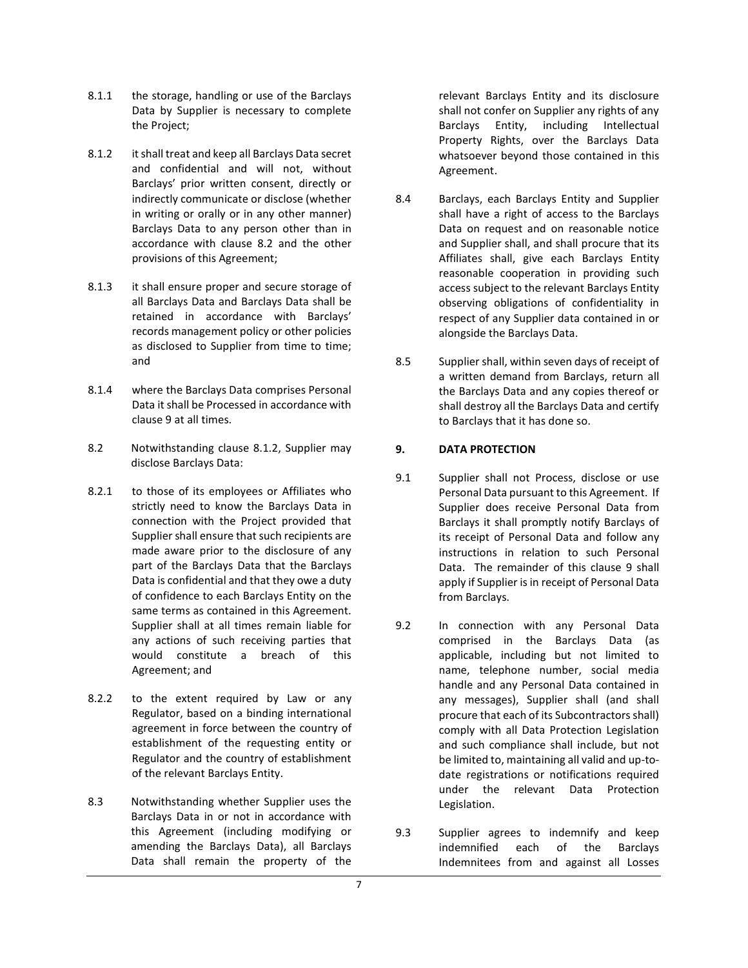- 8.1.1 the storage, handling or use of the Barclays Data by Supplier is necessary to complete the Project;
- 8.1.2 it shall treat and keep all Barclays Data secret and confidential and will not, without Barclays' prior written consent, directly or indirectly communicate or disclose (whether in writing or orally or in any other manner) Barclays Data to any person other than in accordance with clause 8.2 and the other provisions of this Agreement;
- 8.1.3 it shall ensure proper and secure storage of all Barclays Data and Barclays Data shall be retained in accordance with Barclays' records management policy or other policies as disclosed to Supplier from time to time; and
- 8.1.4 where the Barclays Data comprises Personal Data it shall be Processed in accordance with clause 9 at all times.
- 8.2 Notwithstanding clause 8.1.2, Supplier may disclose Barclays Data:
- 8.2.1 to those of its employees or Affiliates who strictly need to know the Barclays Data in connection with the Project provided that Supplier shall ensure that such recipients are made aware prior to the disclosure of any part of the Barclays Data that the Barclays Data is confidential and that they owe a duty of confidence to each Barclays Entity on the same terms as contained in this Agreement. Supplier shall at all times remain liable for any actions of such receiving parties that would constitute a breach of this Agreement; and
- 8.2.2 to the extent required by Law or any Regulator, based on a binding international agreement in force between the country of establishment of the requesting entity or Regulator and the country of establishment of the relevant Barclays Entity.
- 8.3 Notwithstanding whether Supplier uses the Barclays Data in or not in accordance with this Agreement (including modifying or amending the Barclays Data), all Barclays Data shall remain the property of the

relevant Barclays Entity and its disclosure shall not confer on Supplier any rights of any Barclays Entity, including Intellectual Property Rights, over the Barclays Data whatsoever beyond those contained in this Agreement.

- 8.4 Barclays, each Barclays Entity and Supplier shall have a right of access to the Barclays Data on request and on reasonable notice and Supplier shall, and shall procure that its Affiliates shall, give each Barclays Entity reasonable cooperation in providing such access subject to the relevant Barclays Entity observing obligations of confidentiality in respect of any Supplier data contained in or alongside the Barclays Data.
- 8.5 Supplier shall, within seven days of receipt of a written demand from Barclays, return all the Barclays Data and any copies thereof or shall destroy all the Barclays Data and certify to Barclays that it has done so.

## 9. DATA PROTECTION

- 9.1 Supplier shall not Process, disclose or use Personal Data pursuant to this Agreement. If Supplier does receive Personal Data from Barclays it shall promptly notify Barclays of its receipt of Personal Data and follow any instructions in relation to such Personal Data. The remainder of this clause 9 shall apply if Supplier is in receipt of Personal Data from Barclays.
- 9.2 In connection with any Personal Data comprised in the Barclays Data (as applicable, including but not limited to name, telephone number, social media handle and any Personal Data contained in any messages), Supplier shall (and shall procure that each of its Subcontractors shall) comply with all Data Protection Legislation and such compliance shall include, but not be limited to, maintaining all valid and up-todate registrations or notifications required under the relevant Data Protection Legislation.
- 9.3 Supplier agrees to indemnify and keep indemnified each of the Barclays Indemnitees from and against all Losses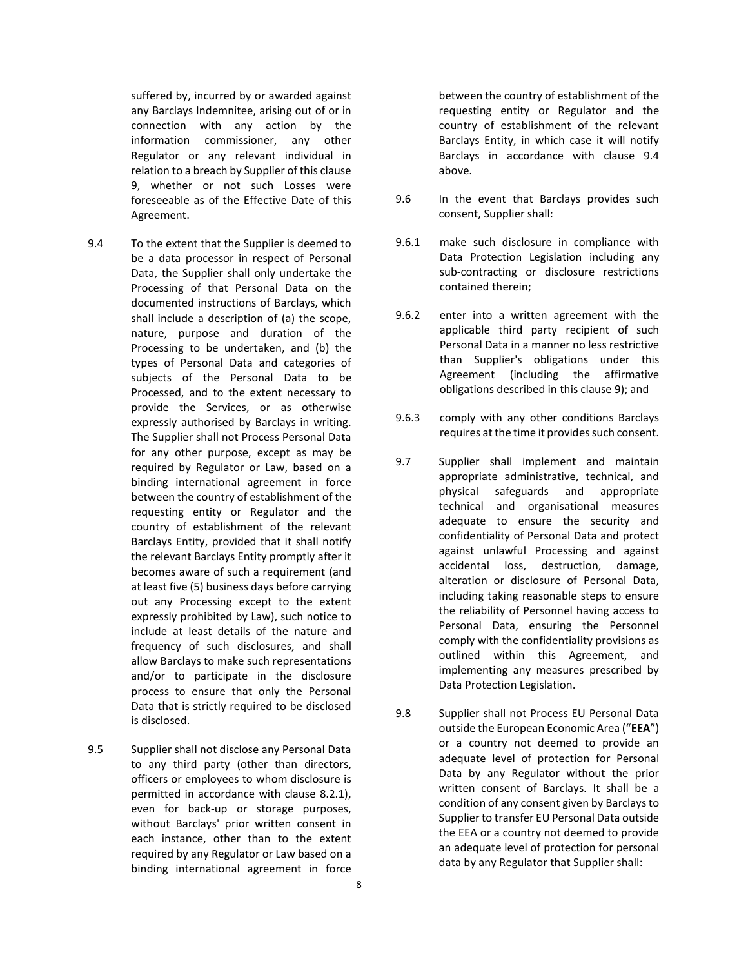suffered by, incurred by or awarded against any Barclays Indemnitee, arising out of or in connection with any action by the information commissioner, any other Regulator or any relevant individual in relation to a breach by Supplier of this clause 9, whether or not such Losses were foreseeable as of the Effective Date of this Agreement.

- 9.4 To the extent that the Supplier is deemed to be a data processor in respect of Personal Data, the Supplier shall only undertake the Processing of that Personal Data on the documented instructions of Barclays, which shall include a description of (a) the scope, nature, purpose and duration of the Processing to be undertaken, and (b) the types of Personal Data and categories of subjects of the Personal Data to be Processed, and to the extent necessary to provide the Services, or as otherwise expressly authorised by Barclays in writing. The Supplier shall not Process Personal Data for any other purpose, except as may be required by Regulator or Law, based on a binding international agreement in force between the country of establishment of the requesting entity or Regulator and the country of establishment of the relevant Barclays Entity, provided that it shall notify the relevant Barclays Entity promptly after it becomes aware of such a requirement (and at least five (5) business days before carrying out any Processing except to the extent expressly prohibited by Law), such notice to include at least details of the nature and frequency of such disclosures, and shall allow Barclays to make such representations and/or to participate in the disclosure process to ensure that only the Personal Data that is strictly required to be disclosed is disclosed.
- 9.5 Supplier shall not disclose any Personal Data to any third party (other than directors, officers or employees to whom disclosure is permitted in accordance with clause 8.2.1), even for back-up or storage purposes, without Barclays' prior written consent in each instance, other than to the extent required by any Regulator or Law based on a binding international agreement in force

between the country of establishment of the requesting entity or Regulator and the country of establishment of the relevant Barclays Entity, in which case it will notify Barclays in accordance with clause 9.4 above.

- 9.6 In the event that Barclays provides such consent, Supplier shall:
- 9.6.1 make such disclosure in compliance with Data Protection Legislation including any sub-contracting or disclosure restrictions contained therein;
- 9.6.2 enter into a written agreement with the applicable third party recipient of such Personal Data in a manner no less restrictive than Supplier's obligations under this Agreement (including the affirmative obligations described in this clause 9); and
- 9.6.3 comply with any other conditions Barclays requires at the time it provides such consent.
- 9.7 Supplier shall implement and maintain appropriate administrative, technical, and physical safeguards and appropriate technical and organisational measures adequate to ensure the security and confidentiality of Personal Data and protect against unlawful Processing and against accidental loss, destruction, damage, alteration or disclosure of Personal Data, including taking reasonable steps to ensure the reliability of Personnel having access to Personal Data, ensuring the Personnel comply with the confidentiality provisions as outlined within this Agreement, and implementing any measures prescribed by Data Protection Legislation.
- 9.8 Supplier shall not Process EU Personal Data outside the European Economic Area ("EEA") or a country not deemed to provide an adequate level of protection for Personal Data by any Regulator without the prior written consent of Barclays. It shall be a condition of any consent given by Barclays to Supplier to transfer EU Personal Data outside the EEA or a country not deemed to provide an adequate level of protection for personal data by any Regulator that Supplier shall: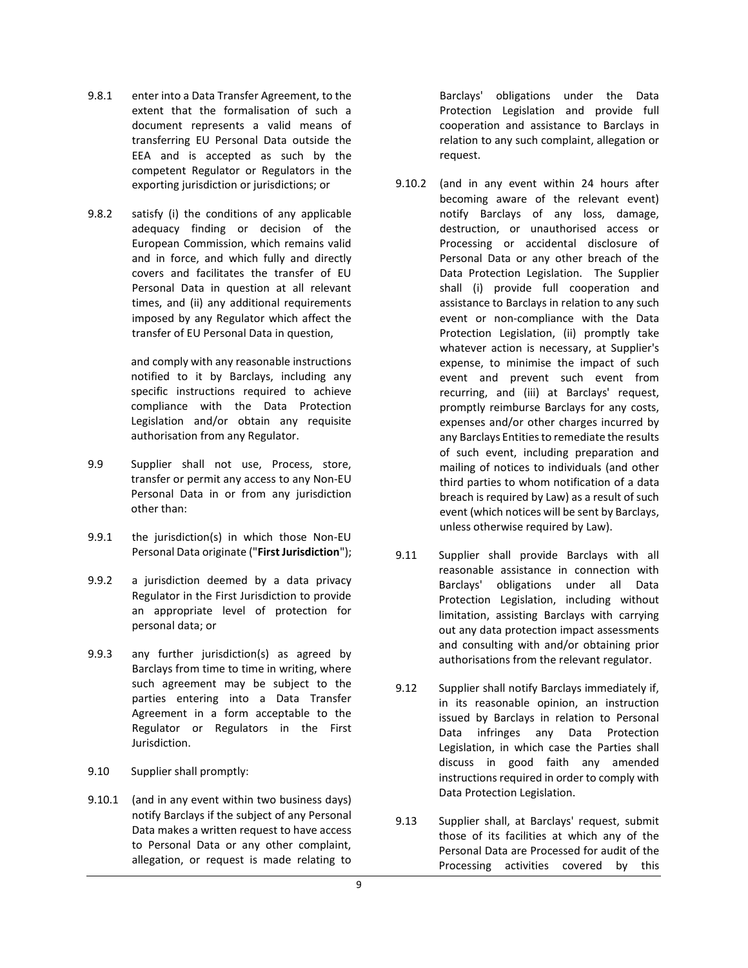- 9.8.1 enter into a Data Transfer Agreement, to the extent that the formalisation of such a document represents a valid means of transferring EU Personal Data outside the EEA and is accepted as such by the competent Regulator or Regulators in the exporting jurisdiction or jurisdictions; or
- 9.8.2 satisfy (i) the conditions of any applicable adequacy finding or decision of the European Commission, which remains valid and in force, and which fully and directly covers and facilitates the transfer of EU Personal Data in question at all relevant times, and (ii) any additional requirements imposed by any Regulator which affect the transfer of EU Personal Data in question,

and comply with any reasonable instructions notified to it by Barclays, including any specific instructions required to achieve compliance with the Data Protection Legislation and/or obtain any requisite authorisation from any Regulator.

- 9.9 Supplier shall not use, Process, store, transfer or permit any access to any Non-EU Personal Data in or from any jurisdiction other than:
- 9.9.1 the jurisdiction(s) in which those Non-EU Personal Data originate ("First Jurisdiction");
- 9.9.2 a jurisdiction deemed by a data privacy Regulator in the First Jurisdiction to provide an appropriate level of protection for personal data; or
- 9.9.3 any further jurisdiction(s) as agreed by Barclays from time to time in writing, where such agreement may be subject to the parties entering into a Data Transfer Agreement in a form acceptable to the Regulator or Regulators in the First Jurisdiction.
- 9.10 Supplier shall promptly:
- 9.10.1 (and in any event within two business days) notify Barclays if the subject of any Personal Data makes a written request to have access to Personal Data or any other complaint, allegation, or request is made relating to

Barclays' obligations under the Data Protection Legislation and provide full cooperation and assistance to Barclays in relation to any such complaint, allegation or request.

- 9.10.2 (and in any event within 24 hours after becoming aware of the relevant event) notify Barclays of any loss, damage, destruction, or unauthorised access or Processing or accidental disclosure of Personal Data or any other breach of the Data Protection Legislation. The Supplier shall (i) provide full cooperation and assistance to Barclays in relation to any such event or non-compliance with the Data Protection Legislation, (ii) promptly take whatever action is necessary, at Supplier's expense, to minimise the impact of such event and prevent such event from recurring, and (iii) at Barclays' request, promptly reimburse Barclays for any costs, expenses and/or other charges incurred by any Barclays Entities to remediate the results of such event, including preparation and mailing of notices to individuals (and other third parties to whom notification of a data breach is required by Law) as a result of such event (which notices will be sent by Barclays, unless otherwise required by Law).
- 9.11 Supplier shall provide Barclays with all reasonable assistance in connection with Barclays' obligations under all Data Protection Legislation, including without limitation, assisting Barclays with carrying out any data protection impact assessments and consulting with and/or obtaining prior authorisations from the relevant regulator.
- 9.12 Supplier shall notify Barclays immediately if, in its reasonable opinion, an instruction issued by Barclays in relation to Personal Data infringes any Data Protection Legislation, in which case the Parties shall discuss in good faith any amended instructions required in order to comply with Data Protection Legislation.
- 9.13 Supplier shall, at Barclays' request, submit those of its facilities at which any of the Personal Data are Processed for audit of the Processing activities covered by this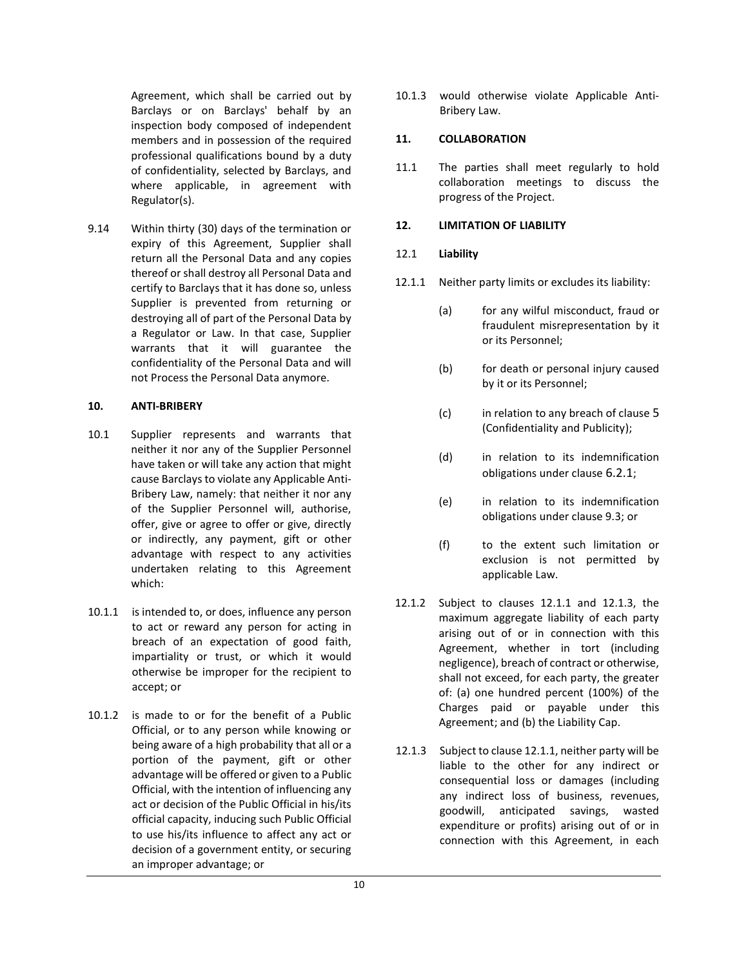Agreement, which shall be carried out by Barclays or on Barclays' behalf by an inspection body composed of independent members and in possession of the required professional qualifications bound by a duty of confidentiality, selected by Barclays, and where applicable, in agreement with Regulator(s).

9.14 Within thirty (30) days of the termination or expiry of this Agreement, Supplier shall return all the Personal Data and any copies thereof or shall destroy all Personal Data and certify to Barclays that it has done so, unless Supplier is prevented from returning or destroying all of part of the Personal Data by a Regulator or Law. In that case, Supplier warrants that it will guarantee the confidentiality of the Personal Data and will not Process the Personal Data anymore.

#### 10. ANTI-BRIBERY

- 10.1 Supplier represents and warrants that neither it nor any of the Supplier Personnel have taken or will take any action that might cause Barclays to violate any Applicable Anti-Bribery Law, namely: that neither it nor any of the Supplier Personnel will, authorise, offer, give or agree to offer or give, directly or indirectly, any payment, gift or other advantage with respect to any activities undertaken relating to this Agreement which:
- 10.1.1 is intended to, or does, influence any person to act or reward any person for acting in breach of an expectation of good faith, impartiality or trust, or which it would otherwise be improper for the recipient to accept; or
- 10.1.2 is made to or for the benefit of a Public Official, or to any person while knowing or being aware of a high probability that all or a portion of the payment, gift or other advantage will be offered or given to a Public Official, with the intention of influencing any act or decision of the Public Official in his/its official capacity, inducing such Public Official to use his/its influence to affect any act or decision of a government entity, or securing an improper advantage; or

10.1.3 would otherwise violate Applicable Anti-Bribery Law.

#### 11. COLLABORATION

11.1 The parties shall meet regularly to hold collaboration meetings to discuss the progress of the Project.

#### 12. LIMITATION OF LIABILITY

#### 12.1 Liability

- 12.1.1 Neither party limits or excludes its liability:
	- (a) for any wilful misconduct, fraud or fraudulent misrepresentation by it or its Personnel;
	- (b) for death or personal injury caused by it or its Personnel;
	- (c) in relation to any breach of clause 5 (Confidentiality and Publicity);
	- (d) in relation to its indemnification obligations under clause 6.2.1;
	- (e) in relation to its indemnification obligations under clause 9.3; or
	- (f) to the extent such limitation or exclusion is not permitted by applicable Law.
- 12.1.2 Subject to clauses 12.1.1 and 12.1.3, the maximum aggregate liability of each party arising out of or in connection with this Agreement, whether in tort (including negligence), breach of contract or otherwise, shall not exceed, for each party, the greater of: (a) one hundred percent (100%) of the Charges paid or payable under this Agreement; and (b) the Liability Cap.
- 12.1.3 Subject to clause 12.1.1, neither party will be liable to the other for any indirect or consequential loss or damages (including any indirect loss of business, revenues, goodwill, anticipated savings, wasted expenditure or profits) arising out of or in connection with this Agreement, in each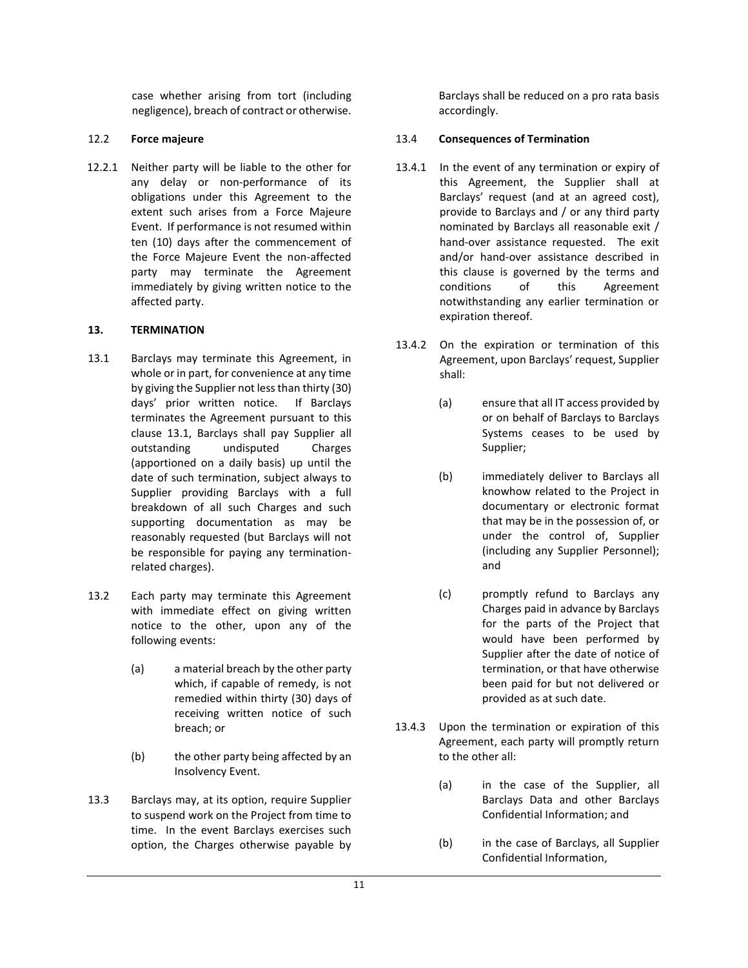case whether arising from tort (including negligence), breach of contract or otherwise.

## 12.2 Force majeure

12.2.1 Neither party will be liable to the other for any delay or non-performance of its obligations under this Agreement to the extent such arises from a Force Majeure Event. If performance is not resumed within ten (10) days after the commencement of the Force Majeure Event the non-affected party may terminate the Agreement immediately by giving written notice to the affected party.

## 13. TERMINATION

- 13.1 Barclays may terminate this Agreement, in whole or in part, for convenience at any time by giving the Supplier not less than thirty (30) days' prior written notice. If Barclays terminates the Agreement pursuant to this clause 13.1, Barclays shall pay Supplier all outstanding undisputed Charges (apportioned on a daily basis) up until the date of such termination, subject always to Supplier providing Barclays with a full breakdown of all such Charges and such supporting documentation as may be reasonably requested (but Barclays will not be responsible for paying any terminationrelated charges).
- 13.2 Each party may terminate this Agreement with immediate effect on giving written notice to the other, upon any of the following events:
	- (a) a material breach by the other party which, if capable of remedy, is not remedied within thirty (30) days of receiving written notice of such breach; or
	- (b) the other party being affected by an Insolvency Event.
- 13.3 Barclays may, at its option, require Supplier to suspend work on the Project from time to time. In the event Barclays exercises such option, the Charges otherwise payable by

Barclays shall be reduced on a pro rata basis accordingly.

## 13.4 Consequences of Termination

- 13.4.1 In the event of any termination or expiry of this Agreement, the Supplier shall at Barclays' request (and at an agreed cost), provide to Barclays and / or any third party nominated by Barclays all reasonable exit / hand-over assistance requested. The exit and/or hand-over assistance described in this clause is governed by the terms and conditions of this Agreement notwithstanding any earlier termination or expiration thereof.
- 13.4.2 On the expiration or termination of this Agreement, upon Barclays' request, Supplier shall:
	- (a) ensure that all IT access provided by or on behalf of Barclays to Barclays Systems ceases to be used by Supplier;
	- (b) immediately deliver to Barclays all knowhow related to the Project in documentary or electronic format that may be in the possession of, or under the control of, Supplier (including any Supplier Personnel); and
	- (c) promptly refund to Barclays any Charges paid in advance by Barclays for the parts of the Project that would have been performed by Supplier after the date of notice of termination, or that have otherwise been paid for but not delivered or provided as at such date.
- 13.4.3 Upon the termination or expiration of this Agreement, each party will promptly return to the other all:
	- (a) in the case of the Supplier, all Barclays Data and other Barclays Confidential Information; and
	- (b) in the case of Barclays, all Supplier Confidential Information,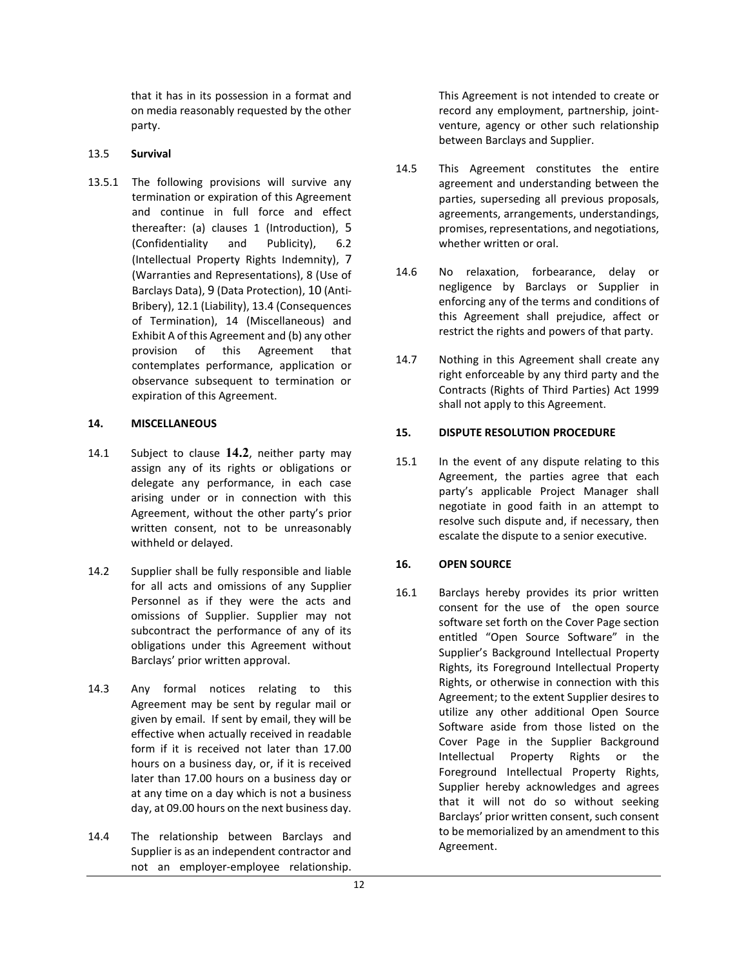that it has in its possession in a format and on media reasonably requested by the other party.

#### 13.5 Survival

13.5.1 The following provisions will survive any termination or expiration of this Agreement and continue in full force and effect thereafter: (a) clauses 1 (Introduction), 5 (Confidentiality and Publicity), 6.2 (Intellectual Property Rights Indemnity), 7 (Warranties and Representations), 8 (Use of Barclays Data), 9 (Data Protection), 10 (Anti-Bribery), 12.1 (Liability), 13.4 (Consequences of Termination), 14 (Miscellaneous) and Exhibit A of this Agreement and (b) any other provision of this Agreement that contemplates performance, application or observance subsequent to termination or expiration of this Agreement.

#### 14. MISCELLANEOUS

- 14.1 Subject to clause 14.2, neither party may assign any of its rights or obligations or delegate any performance, in each case arising under or in connection with this Agreement, without the other party's prior written consent, not to be unreasonably withheld or delayed.
- 14.2 Supplier shall be fully responsible and liable for all acts and omissions of any Supplier Personnel as if they were the acts and omissions of Supplier. Supplier may not subcontract the performance of any of its obligations under this Agreement without Barclays' prior written approval.
- 14.3 Any formal notices relating to this Agreement may be sent by regular mail or given by email. If sent by email, they will be effective when actually received in readable form if it is received not later than 17.00 hours on a business day, or, if it is received later than 17.00 hours on a business day or at any time on a day which is not a business day, at 09.00 hours on the next business day.
- 14.4 The relationship between Barclays and Supplier is as an independent contractor and not an employer-employee relationship.

This Agreement is not intended to create or record any employment, partnership, jointventure, agency or other such relationship between Barclays and Supplier.

- 14.5 This Agreement constitutes the entire agreement and understanding between the parties, superseding all previous proposals, agreements, arrangements, understandings, promises, representations, and negotiations, whether written or oral.
- 14.6 No relaxation, forbearance, delay or negligence by Barclays or Supplier in enforcing any of the terms and conditions of this Agreement shall prejudice, affect or restrict the rights and powers of that party.
- 14.7 Nothing in this Agreement shall create any right enforceable by any third party and the Contracts (Rights of Third Parties) Act 1999 shall not apply to this Agreement.

#### 15. DISPUTE RESOLUTION PROCEDURE

15.1 In the event of any dispute relating to this Agreement, the parties agree that each party's applicable Project Manager shall negotiate in good faith in an attempt to resolve such dispute and, if necessary, then escalate the dispute to a senior executive.

## 16. OPEN SOURCE

16.1 Barclays hereby provides its prior written consent for the use of the open source software set forth on the Cover Page section entitled "Open Source Software" in the Supplier's Background Intellectual Property Rights, its Foreground Intellectual Property Rights, or otherwise in connection with this Agreement; to the extent Supplier desires to utilize any other additional Open Source Software aside from those listed on the Cover Page in the Supplier Background Intellectual Property Rights or the Foreground Intellectual Property Rights, Supplier hereby acknowledges and agrees that it will not do so without seeking Barclays' prior written consent, such consent to be memorialized by an amendment to this Agreement.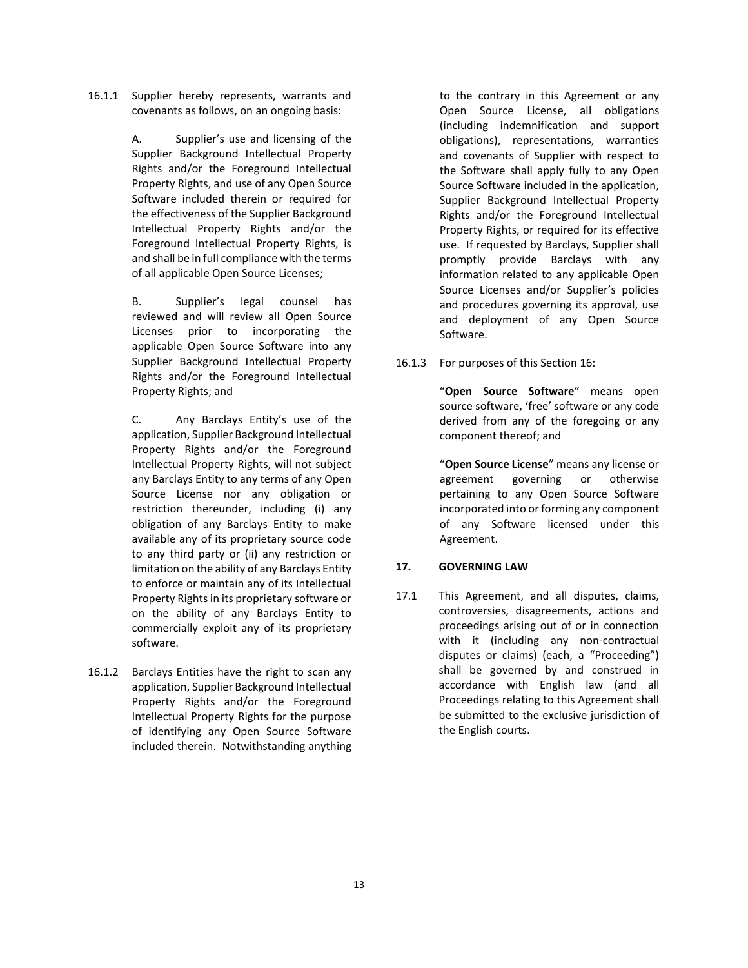16.1.1 Supplier hereby represents, warrants and covenants as follows, on an ongoing basis:

> A. Supplier's use and licensing of the Supplier Background Intellectual Property Rights and/or the Foreground Intellectual Property Rights, and use of any Open Source Software included therein or required for the effectiveness of the Supplier Background Intellectual Property Rights and/or the Foreground Intellectual Property Rights, is and shall be in full compliance with the terms of all applicable Open Source Licenses;

> B. Supplier's legal counsel has reviewed and will review all Open Source Licenses prior to incorporating the applicable Open Source Software into any Supplier Background Intellectual Property Rights and/or the Foreground Intellectual Property Rights; and

> C. Any Barclays Entity's use of the application, Supplier Background Intellectual Property Rights and/or the Foreground Intellectual Property Rights, will not subject any Barclays Entity to any terms of any Open Source License nor any obligation or restriction thereunder, including (i) any obligation of any Barclays Entity to make available any of its proprietary source code to any third party or (ii) any restriction or limitation on the ability of any Barclays Entity to enforce or maintain any of its Intellectual Property Rights in its proprietary software or on the ability of any Barclays Entity to commercially exploit any of its proprietary software.

16.1.2 Barclays Entities have the right to scan any application, Supplier Background Intellectual Property Rights and/or the Foreground Intellectual Property Rights for the purpose of identifying any Open Source Software included therein. Notwithstanding anything

to the contrary in this Agreement or any Open Source License, all obligations (including indemnification and support obligations), representations, warranties and covenants of Supplier with respect to the Software shall apply fully to any Open Source Software included in the application, Supplier Background Intellectual Property Rights and/or the Foreground Intellectual Property Rights, or required for its effective use. If requested by Barclays, Supplier shall promptly provide Barclays with any information related to any applicable Open Source Licenses and/or Supplier's policies and procedures governing its approval, use and deployment of any Open Source Software.

16.1.3 For purposes of this Section 16:

"Open Source Software" means open source software, 'free' software or any code derived from any of the foregoing or any component thereof; and

"Open Source License" means any license or agreement governing or otherwise pertaining to any Open Source Software incorporated into or forming any component of any Software licensed under this Agreement.

## 17. GOVERNING LAW

17.1 This Agreement, and all disputes, claims, controversies, disagreements, actions and proceedings arising out of or in connection with it (including any non-contractual disputes or claims) (each, a "Proceeding") shall be governed by and construed in accordance with English law (and all Proceedings relating to this Agreement shall be submitted to the exclusive jurisdiction of the English courts.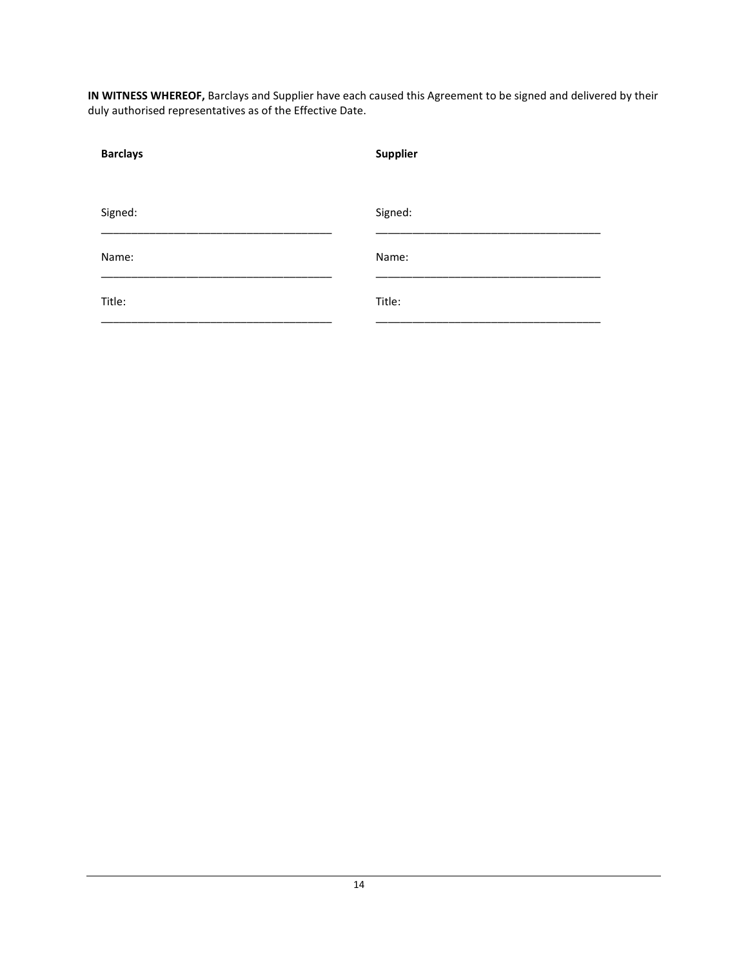IN WITNESS WHEREOF, Barclays and Supplier have each caused this Agreement to be signed and delivered by their duly authorised representatives as of the Effective Date.

| <b>Barclays</b> | <b>Supplier</b> |
|-----------------|-----------------|
|                 |                 |
|                 |                 |
| Signed:         | Signed:         |
|                 |                 |
| Name:           | Name:           |
|                 |                 |
| Title:          | Title:          |
|                 |                 |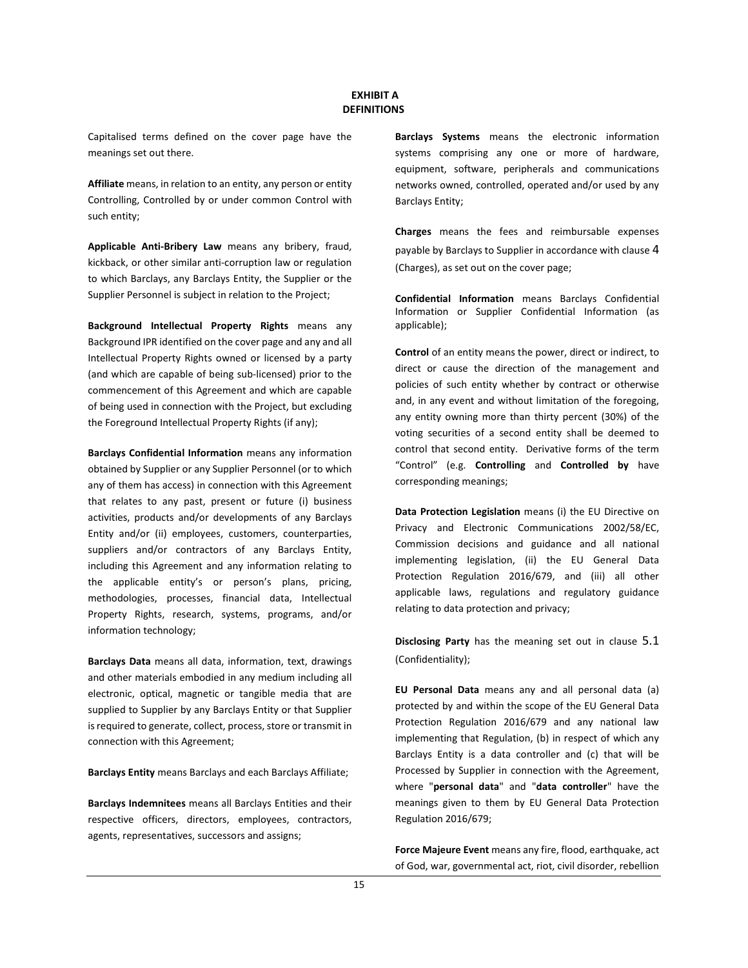#### EXHIBIT A **DEFINITIONS**

Capitalised terms defined on the cover page have the meanings set out there.

Affiliate means, in relation to an entity, any person or entity Controlling, Controlled by or under common Control with such entity;

Applicable Anti-Bribery Law means any bribery, fraud, kickback, or other similar anti-corruption law or regulation to which Barclays, any Barclays Entity, the Supplier or the Supplier Personnel is subject in relation to the Project;

Background Intellectual Property Rights means any Background IPR identified on the cover page and any and all Intellectual Property Rights owned or licensed by a party (and which are capable of being sub-licensed) prior to the commencement of this Agreement and which are capable of being used in connection with the Project, but excluding the Foreground Intellectual Property Rights (if any);

Barclays Confidential Information means any information obtained by Supplier or any Supplier Personnel (or to which any of them has access) in connection with this Agreement that relates to any past, present or future (i) business activities, products and/or developments of any Barclays Entity and/or (ii) employees, customers, counterparties, suppliers and/or contractors of any Barclays Entity, including this Agreement and any information relating to the applicable entity's or person's plans, pricing, methodologies, processes, financial data, Intellectual Property Rights, research, systems, programs, and/or information technology;

Barclays Data means all data, information, text, drawings and other materials embodied in any medium including all electronic, optical, magnetic or tangible media that are supplied to Supplier by any Barclays Entity or that Supplier is required to generate, collect, process, store or transmit in connection with this Agreement;

Barclays Entity means Barclays and each Barclays Affiliate;

Barclays Indemnitees means all Barclays Entities and their respective officers, directors, employees, contractors, agents, representatives, successors and assigns;

Barclays Systems means the electronic information systems comprising any one or more of hardware, equipment, software, peripherals and communications networks owned, controlled, operated and/or used by any Barclays Entity;

Charges means the fees and reimbursable expenses payable by Barclays to Supplier in accordance with clause 4 (Charges), as set out on the cover page;

Confidential Information means Barclays Confidential Information or Supplier Confidential Information (as applicable);

Control of an entity means the power, direct or indirect, to direct or cause the direction of the management and policies of such entity whether by contract or otherwise and, in any event and without limitation of the foregoing, any entity owning more than thirty percent (30%) of the voting securities of a second entity shall be deemed to control that second entity. Derivative forms of the term "Control" (e.g. Controlling and Controlled by have corresponding meanings;

Data Protection Legislation means (i) the EU Directive on Privacy and Electronic Communications 2002/58/EC, Commission decisions and guidance and all national implementing legislation, (ii) the EU General Data Protection Regulation 2016/679, and (iii) all other applicable laws, regulations and regulatory guidance relating to data protection and privacy;

Disclosing Party has the meaning set out in clause 5.1 (Confidentiality);

EU Personal Data means any and all personal data (a) protected by and within the scope of the EU General Data Protection Regulation 2016/679 and any national law implementing that Regulation, (b) in respect of which any Barclays Entity is a data controller and (c) that will be Processed by Supplier in connection with the Agreement, where "personal data" and "data controller" have the meanings given to them by EU General Data Protection Regulation 2016/679;

Force Majeure Event means any fire, flood, earthquake, act of God, war, governmental act, riot, civil disorder, rebellion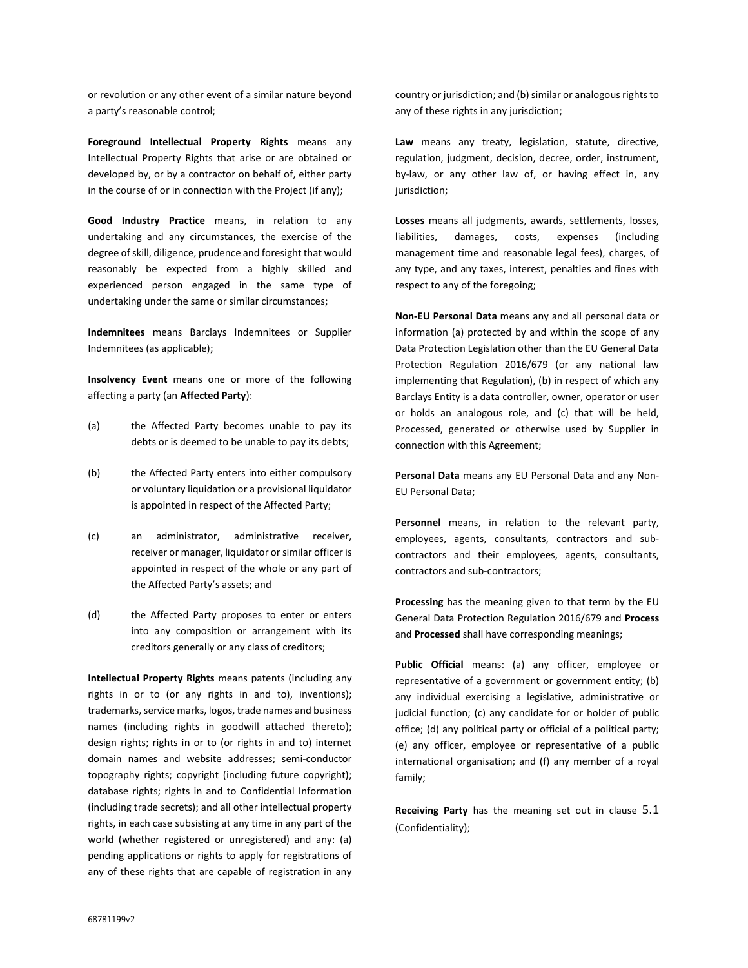or revolution or any other event of a similar nature beyond a party's reasonable control;

Foreground Intellectual Property Rights means any Intellectual Property Rights that arise or are obtained or developed by, or by a contractor on behalf of, either party in the course of or in connection with the Project (if any);

Good Industry Practice means, in relation to any undertaking and any circumstances, the exercise of the degree of skill, diligence, prudence and foresight that would reasonably be expected from a highly skilled and experienced person engaged in the same type of undertaking under the same or similar circumstances;

Indemnitees means Barclays Indemnitees or Supplier Indemnitees (as applicable);

Insolvency Event means one or more of the following affecting a party (an Affected Party):

- (a) the Affected Party becomes unable to pay its debts or is deemed to be unable to pay its debts;
- (b) the Affected Party enters into either compulsory or voluntary liquidation or a provisional liquidator is appointed in respect of the Affected Party;
- (c) an administrator, administrative receiver, receiver or manager, liquidator or similar officer is appointed in respect of the whole or any part of the Affected Party's assets; and
- (d) the Affected Party proposes to enter or enters into any composition or arrangement with its creditors generally or any class of creditors;

Intellectual Property Rights means patents (including any rights in or to (or any rights in and to), inventions); trademarks, service marks, logos, trade names and business names (including rights in goodwill attached thereto); design rights; rights in or to (or rights in and to) internet domain names and website addresses; semi-conductor topography rights; copyright (including future copyright); database rights; rights in and to Confidential Information (including trade secrets); and all other intellectual property rights, in each case subsisting at any time in any part of the world (whether registered or unregistered) and any: (a) pending applications or rights to apply for registrations of any of these rights that are capable of registration in any

country or jurisdiction; and (b) similar or analogous rights to any of these rights in any jurisdiction;

Law means any treaty, legislation, statute, directive, regulation, judgment, decision, decree, order, instrument, by-law, or any other law of, or having effect in, any jurisdiction;

Losses means all judgments, awards, settlements, losses, liabilities, damages, costs, expenses (including management time and reasonable legal fees), charges, of any type, and any taxes, interest, penalties and fines with respect to any of the foregoing;

Non-EU Personal Data means any and all personal data or information (a) protected by and within the scope of any Data Protection Legislation other than the EU General Data Protection Regulation 2016/679 (or any national law implementing that Regulation), (b) in respect of which any Barclays Entity is a data controller, owner, operator or user or holds an analogous role, and (c) that will be held, Processed, generated or otherwise used by Supplier in connection with this Agreement;

Personal Data means any EU Personal Data and any Non-EU Personal Data;

Personnel means, in relation to the relevant party, employees, agents, consultants, contractors and subcontractors and their employees, agents, consultants, contractors and sub-contractors;

Processing has the meaning given to that term by the EU General Data Protection Regulation 2016/679 and Process and Processed shall have corresponding meanings;

Public Official means: (a) any officer, employee or representative of a government or government entity; (b) any individual exercising a legislative, administrative or judicial function; (c) any candidate for or holder of public office; (d) any political party or official of a political party; (e) any officer, employee or representative of a public international organisation; and (f) any member of a royal family;

Receiving Party has the meaning set out in clause 5.1 (Confidentiality);